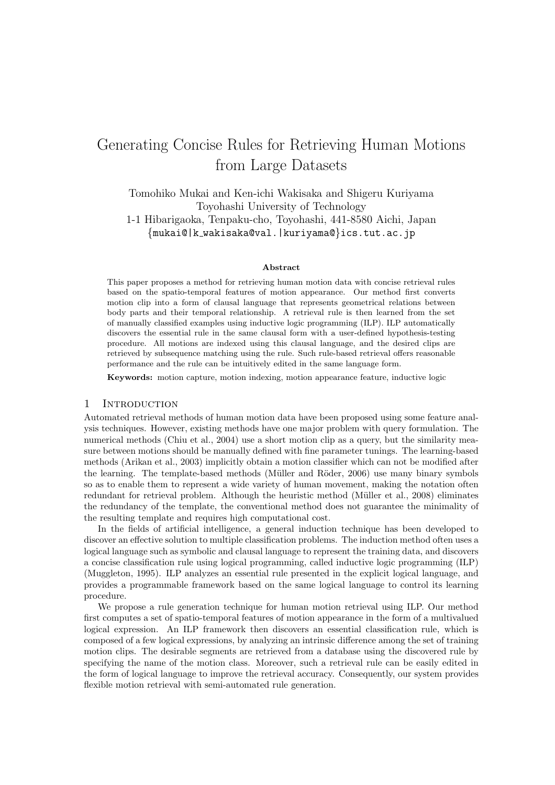# Generating Concise Forms for Fouriering Human Motions from Large Datasets

Tomohiko Mukai and Ken-ichi Wakisaka and Shigeru Kuriyama Toyohashi University of Technology 1-1 Hibarigaoka, Tenpaku-cho, Toyohashi, 441-8580 Aichi, Japan *{*mukai@|k wakisaka@val.|kuriyama@*}*ics.tut.ac.jp

#### **Abstract**

This paper proposes a method for retrieving human motion data with concise retrieval rules based on the spatio-temporal features of motion appearance. Our method first converts motion clip into a form of clausal language that represents geometrical relations between body parts and their temporal relationship. A retrieval rule is then learned from the set of manually classified examples using inductive logic programming (ILP). ILP automatically discovers the essential rule in the same clausal form with a user-defined hypothesis-testing procedure. All motions are indexed using this clausal language, and the desired clips are retrieved by subsequence matching using the rule. Such rule-based retrieval offers reasonable performance and the rule can be intuitively edited in the same language form.

**Keywords:** motion capture, motion indexing, motion appearance feature, inductive logic

#### 1 INTRODUCTION

Automated retrieval methods of human motion data have been proposed using some feature analysis techniques. However, existing methods have one major problem with query formulation. The numerical methods (Chiu et al., 2004) use a short motion clip as a query, but the similarity measure between motions should be manually defined with fine parameter tunings. The learning-based methods (Arikan et al., 2003) implicitly obtain a motion classifier which can not be modified after the learning. The template-based methods (Müller and Röder, 2006) use many binary symbols so as to enable them to represent a wide variety of human movement, making the notation often redundant for retrieval problem. Although the heuristic method (Müller et al., 2008) eliminates the redundancy of the template, the conventional method does not guarantee the minimality of the resulting template and requires high computational cost.

In the fields of artificial intelligence, a general induction technique has been developed to discover an effective solution to multiple classification problems. The induction method often uses a logical language such as symbolic and clausal language to represent the training data, and discovers a concise classification rule using logical programming, called inductive logic programming (ILP) (Muggleton, 1995). ILP analyzes an essential rule presented in the explicit logical language, and provides a programmable framework based on the same logical language to control its learning procedure.

We propose a rule generation technique for human motion retrieval using ILP. Our method first computes a set of spatio-temporal features of motion appearance in the form of a multivalued logical expression. An ILP framework then discovers an essential classification rule, which is composed of a few logical expressions, by analyzing an intrinsic difference among the set of training motion clips. The desirable segments are retrieved from a database using the discovered rule by specifying the name of the motion class. Moreover, such a retrieval rule can be easily edited in the form of logical language to improve the retrieval accuracy. Consequently, our system provides flexible motion retrieval with semi-automated rule generation.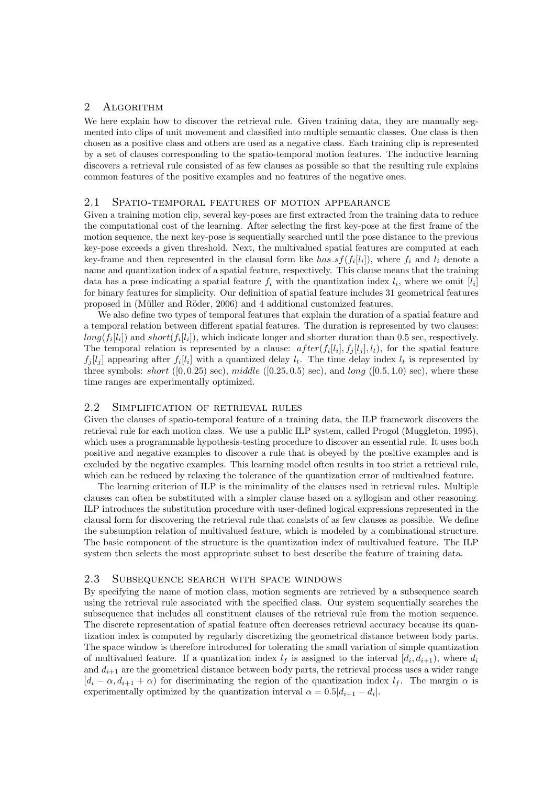## 2 ALGORITHM

We here explain how to discover the retrieval rule. Given training data, they are manually segmented into clips of unit movement and classified into multiple semantic classes. One class is then chosen as a positive class and others are used as a negative class. Each training clip is represented by a set of clauses corresponding to the spatio-temporal motion features. The inductive learning discovers a retrieval rule consisted of as few clauses as possible so that the resulting rule explains common features of the positive examples and no features of the negative ones.

## 2.1 Spatio-temporal features of motion appearance

Given a training motion clip, several key-poses are first extracted from the training data to reduce the computational cost of the learning. After selecting the first key-pose at the first frame of the motion sequence, the next key-pose is sequentially searched until the pose distance to the previous key-pose exceeds a given threshold. Next, the multivalued spatial features are computed at each key-frame and then represented in the clausal form like  $has\_sf(f_i[l_i])$ , where  $f_i$  and  $l_i$  denote a name and quantization index of a spatial feature, respectively. This clause means that the training data has a pose indicating a spatial feature  $f_i$  with the quantization index  $l_i$ , where we omit  $[l_i]$ for binary features for simplicity. Our definition of spatial feature includes 31 geometrical features proposed in (Müller and Röder, 2006) and 4 additional customized features.

We also define two types of temporal features that explain the duration of a spatial feature and a temporal relation between different spatial features. The duration is represented by two clauses:  $long(f_i[l_i])$  and short( $f_i[l_i]$ ), which indicate longer and shorter duration than 0.5 sec, respectively. The temporal relation is represented by a clause:  $after(f_i[l_i], f_j[l_i], t_t)$ , for the spatial feature  $f_j[l_j]$  appearing after  $f_i[l_i]$  with a quantized delay  $l_t$ . The time delay index  $l_t$  is represented by three symbols: short  $([0, 0.25)$  sec), middle  $([0.25, 0.5)$  sec), and long  $([0.5, 1.0)$  sec), where these time ranges are experimentally optimized.

# 2.2 Simplification of retrieval rules

Given the clauses of spatio-temporal feature of a training data, the ILP framework discovers the retrieval rule for each motion class. We use a public ILP system, called Progol (Muggleton, 1995), which uses a programmable hypothesis-testing procedure to discover an essential rule. It uses both positive and negative examples to discover a rule that is obeyed by the positive examples and is excluded by the negative examples. This learning model often results in too strict a retrieval rule, which can be reduced by relaxing the tolerance of the quantization error of multivalued feature.

The learning criterion of ILP is the minimality of the clauses used in retrieval rules. Multiple clauses can often be substituted with a simpler clause based on a syllogism and other reasoning. ILP introduces the substitution procedure with user-defined logical expressions represented in the clausal form for discovering the retrieval rule that consists of as few clauses as possible. We define the subsumption relation of multivalued feature, which is modeled by a combinational structure. The basic component of the structure is the quantization index of multivalued feature. The ILP system then selects the most appropriate subset to best describe the feature of training data.

## 2.3 Subsequence search with space windows

By specifying the name of motion class, motion segments are retrieved by a subsequence search using the retrieval rule associated with the specified class. Our system sequentially searches the subsequence that includes all constituent clauses of the retrieval rule from the motion sequence. The discrete representation of spatial feature often decreases retrieval accuracy because its quantization index is computed by regularly discretizing the geometrical distance between body parts. The space window is therefore introduced for tolerating the small variation of simple quantization of multivalued feature. If a quantization index  $l_f$  is assigned to the interval  $[d_i, d_{i+1})$ , where  $d_i$ and  $d_{i+1}$  are the geometrical distance between body parts, the retrieval process uses a wider range  $[d_i - \alpha, d_{i+1} + \alpha)$  for discriminating the region of the quantization index  $l_f$ . The margin  $\alpha$  is experimentally optimized by the quantization interval  $\alpha = 0.5|d_{i+1} - d_i|$ .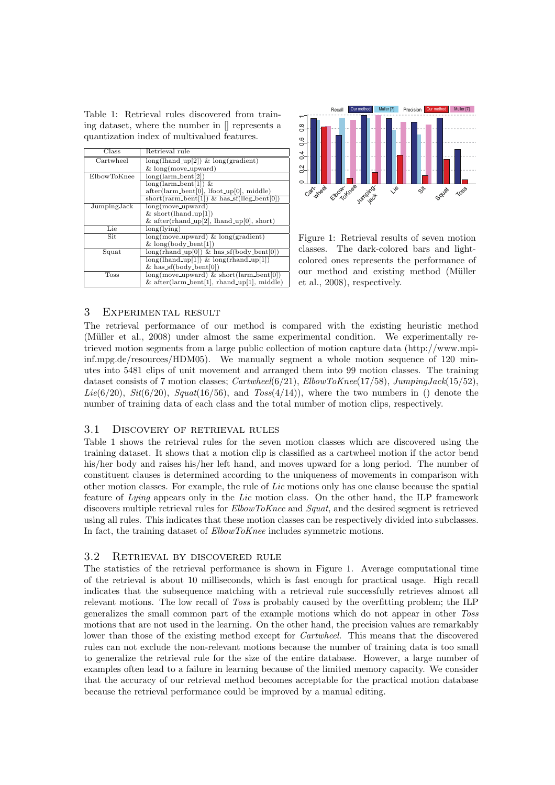Table 1: Retrieval rules discovered from training dataset, where the number in [] represents a quantization index of multivalued features.

| Class         | Retrieval rule                                      |
|---------------|-----------------------------------------------------|
| Cartwheel     | $long(lhand_up[2])$ & $long(gradient)$              |
|               | $&$ long(move_upward)                               |
| ElbowToKnee   | $long(larm{\text -}bent[2])$                        |
|               | $long(larm{\text -}bent[1])$ &                      |
|               | $after(larm{\text -}bent[0],$ Ifoot_up[0], middle)  |
|               | $short( rarm{\_}[1]) \& has{\_}f(leg{\_}[0])$       |
| JumpingJack   | $long(move-upward)$                                 |
|               | $&$ short(lhand_up[1])                              |
|               | & after(rhand_up[2], lhand_up[0], short)            |
| Lie           | long(lving)                                         |
| Sit           | $long(move.upward)$ & $long(gradient)$              |
|               | $&$ long(body_bent[1])                              |
| Squat         | $long(rhand_up[0])$ & has_sf(body_bent[0])          |
|               | $long($ lhand_up[1]) & long(rhand_up[1])            |
|               | & has_sf(body_bent[0])                              |
| $_{\rm Toss}$ | $long(move\_upward) \& short(larm{\text -}bent[0])$ |
|               | & after(larm_bent[1], rhand_up[1], middle)          |



Figure 1: Retrieval results of seven motion classes. The dark-colored bars and lightcolored ones represents the performance of our method and existing method (Müller et al., 2008), respectively.

#### 3 Experimental result

The retrieval performance of our method is compared with the existing heuristic method (Müller et al., 2008) under almost the same experimental condition. We experimentally retrieved motion segments from a large public collection of motion capture data (http://www.mpiinf.mpg.de/resources/HDM05). We manually segment a whole motion sequence of 120 minutes into 5481 clips of unit movement and arranged them into 99 motion classes. The training dataset consists of 7 motion classes; *Cartwheel*(6/21), *ElbowToKnee*(17/58), *JumpingJack*(15/52), Lie( $6/20$ ), *Sit*( $6/20$ ), *Squat*( $16/56$ ), and *Toss*( $4/14$ )), where the two numbers in () denote the number of training data of each class and the total number of motion clips, respectively.

#### 3.1 Discovery of retrieval rules

Table 1 shows the retrieval rules for the seven motion classes which are discovered using the training dataset. It shows that a motion clip is classified as a cartwheel motion if the actor bend his/her body and raises his/her left hand, and moves upward for a long period. The number of constituent clauses is determined according to the uniqueness of movements in comparison with other motion classes. For example, the rule of *Lie* motions only has one clause because the spatial feature of *Lying* appears only in the *Lie* motion class. On the other hand, the ILP framework discovers multiple retrieval rules for *ElbowToKnee* and *Squat*, and the desired segment is retrieved using all rules. This indicates that these motion classes can be respectively divided into subclasses. In fact, the training dataset of *ElbowToKnee* includes symmetric motions.

## 3.2 Retrieval by discovered rule

The statistics of the retrieval performance is shown in Figure 1. Average computational time of the retrieval is about 10 milliseconds, which is fast enough for practical usage. High recall indicates that the subsequence matching with a retrieval rule successfully retrieves almost all relevant motions. The low recall of *Toss* is probably caused by the overfitting problem; the ILP generalizes the small common part of the example motions which do not appear in other *Toss* motions that are not used in the learning. On the other hand, the precision values are remarkably lower than those of the existing method except for *Cartwheel*. This means that the discovered rules can not exclude the non-relevant motions because the number of training data is too small to generalize the retrieval rule for the size of the entire database. However, a large number of examples often lead to a failure in learning because of the limited memory capacity. We consider that the accuracy of our retrieval method becomes acceptable for the practical motion database because the retrieval performance could be improved by a manual editing.